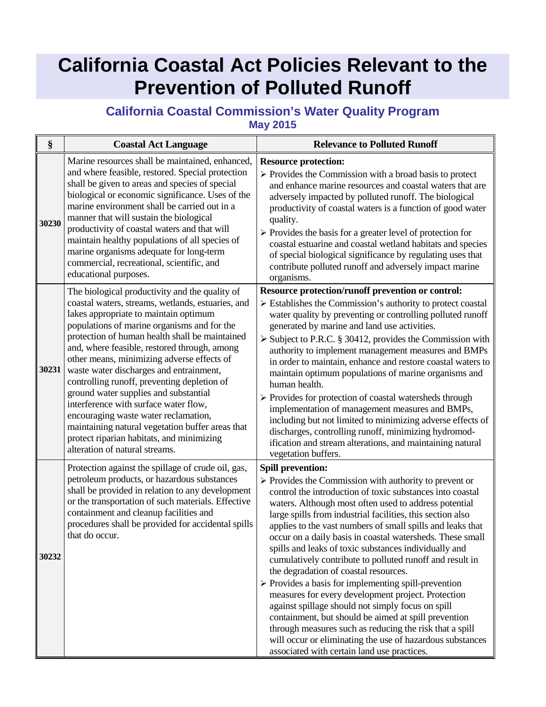## **California Coastal Act Policies Relevant to the Prevention of Polluted Runoff**

## **California Coastal Commission's Water Quality Program May 2015**

| §     | <b>Coastal Act Language</b>                                                                                                                                                                                                                                                                                                                                                                                                                                                                                                                                                                                                                                                                        | <b>Relevance to Polluted Runoff</b>                                                                                                                                                                                                                                                                                                                                                                                                                                                                                                                                                                                                                                                                                                                                                                                                                                                                                                                                                             |
|-------|----------------------------------------------------------------------------------------------------------------------------------------------------------------------------------------------------------------------------------------------------------------------------------------------------------------------------------------------------------------------------------------------------------------------------------------------------------------------------------------------------------------------------------------------------------------------------------------------------------------------------------------------------------------------------------------------------|-------------------------------------------------------------------------------------------------------------------------------------------------------------------------------------------------------------------------------------------------------------------------------------------------------------------------------------------------------------------------------------------------------------------------------------------------------------------------------------------------------------------------------------------------------------------------------------------------------------------------------------------------------------------------------------------------------------------------------------------------------------------------------------------------------------------------------------------------------------------------------------------------------------------------------------------------------------------------------------------------|
| 30230 | Marine resources shall be maintained, enhanced,<br>and where feasible, restored. Special protection<br>shall be given to areas and species of special<br>biological or economic significance. Uses of the<br>marine environment shall be carried out in a<br>manner that will sustain the biological<br>productivity of coastal waters and that will<br>maintain healthy populations of all species of<br>marine organisms adequate for long-term<br>commercial, recreational, scientific, and<br>educational purposes.                                                                                                                                                                            | <b>Resource protection:</b><br>$\triangleright$ Provides the Commission with a broad basis to protect<br>and enhance marine resources and coastal waters that are<br>adversely impacted by polluted runoff. The biological<br>productivity of coastal waters is a function of good water<br>quality.<br>$\triangleright$ Provides the basis for a greater level of protection for<br>coastal estuarine and coastal wetland habitats and species<br>of special biological significance by regulating uses that<br>contribute polluted runoff and adversely impact marine<br>organisms.                                                                                                                                                                                                                                                                                                                                                                                                           |
| 30231 | The biological productivity and the quality of<br>coastal waters, streams, wetlands, estuaries, and<br>lakes appropriate to maintain optimum<br>populations of marine organisms and for the<br>protection of human health shall be maintained<br>and, where feasible, restored through, among<br>other means, minimizing adverse effects of<br>waste water discharges and entrainment,<br>controlling runoff, preventing depletion of<br>ground water supplies and substantial<br>interference with surface water flow,<br>encouraging waste water reclamation,<br>maintaining natural vegetation buffer areas that<br>protect riparian habitats, and minimizing<br>alteration of natural streams. | Resource protection/runoff prevention or control:<br>$\triangleright$ Establishes the Commission's authority to protect coastal<br>water quality by preventing or controlling polluted runoff<br>generated by marine and land use activities.<br>$\triangleright$ Subject to P.R.C. § 30412, provides the Commission with<br>authority to implement management measures and BMPs<br>in order to maintain, enhance and restore coastal waters to<br>maintain optimum populations of marine organisms and<br>human health.<br>$\triangleright$ Provides for protection of coastal watersheds through<br>implementation of management measures and BMPs,<br>including but not limited to minimizing adverse effects of<br>discharges, controlling runoff, minimizing hydromod-<br>ification and stream alterations, and maintaining natural<br>vegetation buffers.                                                                                                                                 |
| 30232 | Protection against the spillage of crude oil, gas,<br>petroleum products, or hazardous substances<br>shall be provided in relation to any development<br>or the transportation of such materials. Effective<br>containment and cleanup facilities and<br>procedures shall be provided for accidental spills<br>that do occur.                                                                                                                                                                                                                                                                                                                                                                      | <b>Spill prevention:</b><br>$\triangleright$ Provides the Commission with authority to prevent or<br>control the introduction of toxic substances into coastal<br>waters. Although most often used to address potential<br>large spills from industrial facilities, this section also<br>applies to the vast numbers of small spills and leaks that<br>occur on a daily basis in coastal watersheds. These small<br>spills and leaks of toxic substances individually and<br>cumulatively contribute to polluted runoff and result in<br>the degradation of coastal resources.<br>$\triangleright$ Provides a basis for implementing spill-prevention<br>measures for every development project. Protection<br>against spillage should not simply focus on spill<br>containment, but should be aimed at spill prevention<br>through measures such as reducing the risk that a spill<br>will occur or eliminating the use of hazardous substances<br>associated with certain land use practices. |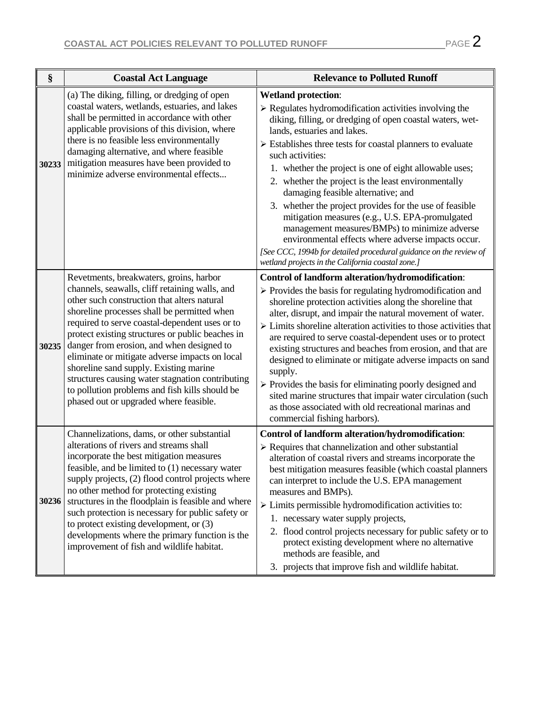$\mathcal{L}$ 

| §     | <b>Coastal Act Language</b>                                                                                                                                                                                                                                                                                                                                                                                                                                                                                                                                                            | <b>Relevance to Polluted Runoff</b>                                                                                                                                                                                                                                                                                                                                                                                                                                                                                                                                                                                                                                                                                                                                                                    |
|-------|----------------------------------------------------------------------------------------------------------------------------------------------------------------------------------------------------------------------------------------------------------------------------------------------------------------------------------------------------------------------------------------------------------------------------------------------------------------------------------------------------------------------------------------------------------------------------------------|--------------------------------------------------------------------------------------------------------------------------------------------------------------------------------------------------------------------------------------------------------------------------------------------------------------------------------------------------------------------------------------------------------------------------------------------------------------------------------------------------------------------------------------------------------------------------------------------------------------------------------------------------------------------------------------------------------------------------------------------------------------------------------------------------------|
| 30233 | (a) The diking, filling, or dredging of open<br>coastal waters, wetlands, estuaries, and lakes<br>shall be permitted in accordance with other<br>applicable provisions of this division, where<br>there is no feasible less environmentally<br>damaging alternative, and where feasible<br>mitigation measures have been provided to<br>minimize adverse environmental effects                                                                                                                                                                                                         | <b>Wetland protection:</b><br>$\triangleright$ Regulates hydromodification activities involving the<br>diking, filling, or dredging of open coastal waters, wet-<br>lands, estuaries and lakes.<br>$\triangleright$ Establishes three tests for coastal planners to evaluate<br>such activities:<br>1. whether the project is one of eight allowable uses;<br>2. whether the project is the least environmentally<br>damaging feasible alternative; and<br>3. whether the project provides for the use of feasible<br>mitigation measures (e.g., U.S. EPA-promulgated<br>management measures/BMPs) to minimize adverse<br>environmental effects where adverse impacts occur.<br>[See CCC, 1994b for detailed procedural guidance on the review of<br>wetland projects in the California coastal zone.] |
| 30235 | Revetments, breakwaters, groins, harbor<br>channels, seawalls, cliff retaining walls, and<br>other such construction that alters natural<br>shoreline processes shall be permitted when<br>required to serve coastal-dependent uses or to<br>protect existing structures or public beaches in<br>danger from erosion, and when designed to<br>eliminate or mitigate adverse impacts on local<br>shoreline sand supply. Existing marine<br>structures causing water stagnation contributing<br>to pollution problems and fish kills should be<br>phased out or upgraded where feasible. | Control of landform alteration/hydromodification:<br>$\triangleright$ Provides the basis for regulating hydromodification and<br>shoreline protection activities along the shoreline that<br>alter, disrupt, and impair the natural movement of water.<br>$\triangleright$ Limits shoreline alteration activities to those activities that<br>are required to serve coastal-dependent uses or to protect<br>existing structures and beaches from erosion, and that are<br>designed to eliminate or mitigate adverse impacts on sand<br>supply.<br>$\triangleright$ Provides the basis for eliminating poorly designed and<br>sited marine structures that impair water circulation (such<br>as those associated with old recreational marinas and<br>commercial fishing harbors).                      |
| 30236 | Channelizations, dams, or other substantial<br>alterations of rivers and streams shall<br>incorporate the best mitigation measures<br>feasible, and be limited to (1) necessary water<br>supply projects, (2) flood control projects where<br>no other method for protecting existing<br>structures in the floodplain is feasible and where<br>such protection is necessary for public safety or<br>to protect existing development, or $(3)$<br>developments where the primary function is the<br>improvement of fish and wildlife habitat.                                           | Control of landform alteration/hydromodification:<br>$\triangleright$ Requires that channelization and other substantial<br>alteration of coastal rivers and streams incorporate the<br>best mitigation measures feasible (which coastal planners<br>can interpret to include the U.S. EPA management<br>measures and BMPs).<br>$\triangleright$ Limits permissible hydromodification activities to:<br>1. necessary water supply projects,<br>2. flood control projects necessary for public safety or to<br>protect existing development where no alternative<br>methods are feasible, and<br>3. projects that improve fish and wildlife habitat.                                                                                                                                                    |